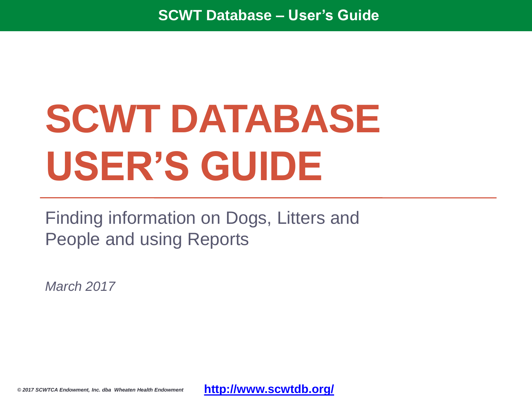# **SCWT DATABASE USER'S GUIDE**

Finding information on Dogs, Litters and People and using Reports

*March 2017*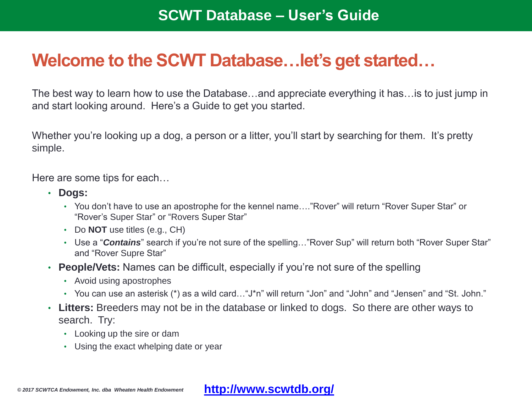# **Welcome to the SCWT Database…let's get started…**

The best way to learn how to use the Database…and appreciate everything it has…is to just jump in and start looking around. Here's a Guide to get you started.

Whether you're looking up a dog, a person or a litter, you'll start by searching for them. It's pretty simple.

Here are some tips for each…

- **Dogs:** 
	- You don't have to use an apostrophe for the kennel name…."Rover" will return "Rover Super Star" or "Rover's Super Star" or "Rovers Super Star"
	- Do **NOT** use titles (e.g., CH)
	- Use a "*Contains*" search if you're not sure of the spelling…"Rover Sup" will return both "Rover Super Star" and "Rover Supre Star"
- **People/Vets:** Names can be difficult, especially if you're not sure of the spelling
	- Avoid using apostrophes
	- You can use an asterisk (\*) as a wild card…"J\*n" will return "Jon" and "John" and "Jensen" and "St. John."
- **Litters:** Breeders may not be in the database or linked to dogs. So there are other ways to search. Try:
	- Looking up the sire or dam
	- Using the exact whelping date or year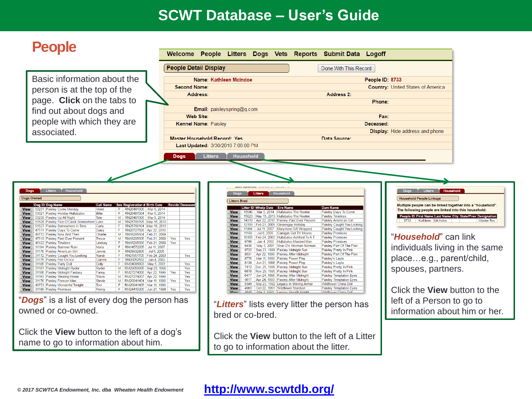# **People**

|                                                                                                                                                                  | <b>People Detail Display</b>                                                                                                      |                                                                                                                                  | Done With This Record             |                                                                                                                               |  |
|------------------------------------------------------------------------------------------------------------------------------------------------------------------|-----------------------------------------------------------------------------------------------------------------------------------|----------------------------------------------------------------------------------------------------------------------------------|-----------------------------------|-------------------------------------------------------------------------------------------------------------------------------|--|
| Basic information about the<br>person is at the top of the<br>page. Click on the tabs to<br>find out about dogs and<br>people with which they are<br>associated. | <b>Second Name:</b><br>Address:<br><b>Web Site:</b><br><b>Kennel Name: Paisley</b><br><b>Master Household Record: Yes</b><br>Dogs | Name: Kathleen McIndoe<br>Email: paisleyspring@q.com<br>Last Updated: 3/30/2016 7:06:00 PM<br><b>Household</b><br><b>Litters</b> | <b>Address 2:</b><br>Data Source: | People ID: 8733<br><b>Country: United States of America</b><br>Phone:<br>Fax:<br>Deceased:<br>Display: Hide address and phone |  |
|                                                                                                                                                                  |                                                                                                                                   |                                                                                                                                  |                                   |                                                                                                                               |  |

Click the **View** button to the left of a Litter to go to information about the litter.

name to go to information about him.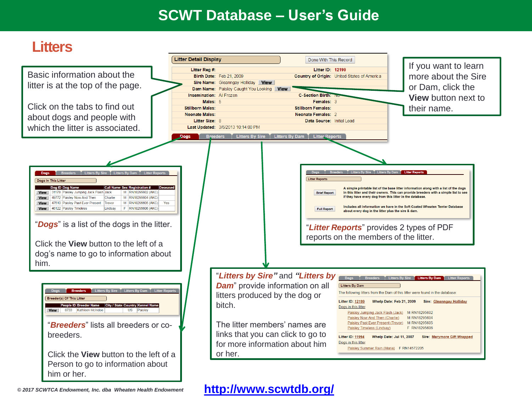# **Litters**

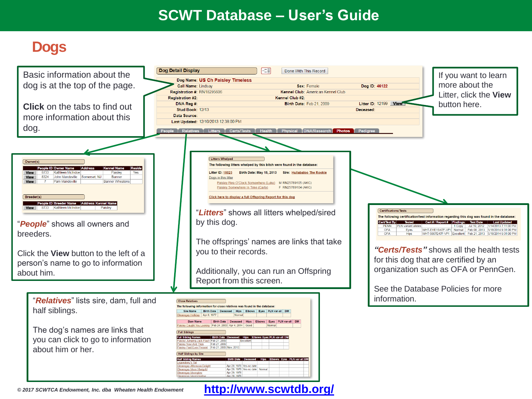# **Dogs**

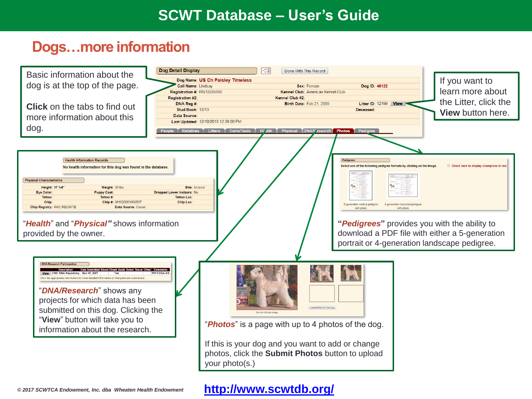# **Dogs…more information**

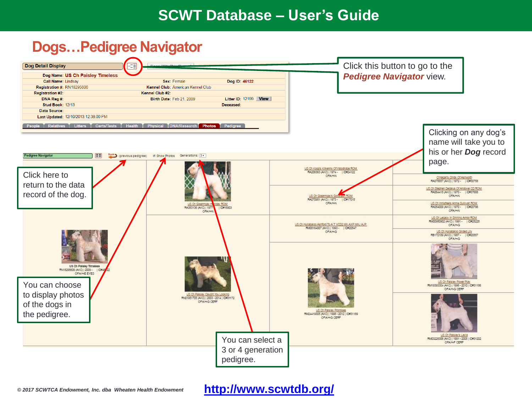## **Dogs…Pedigree Navigator**